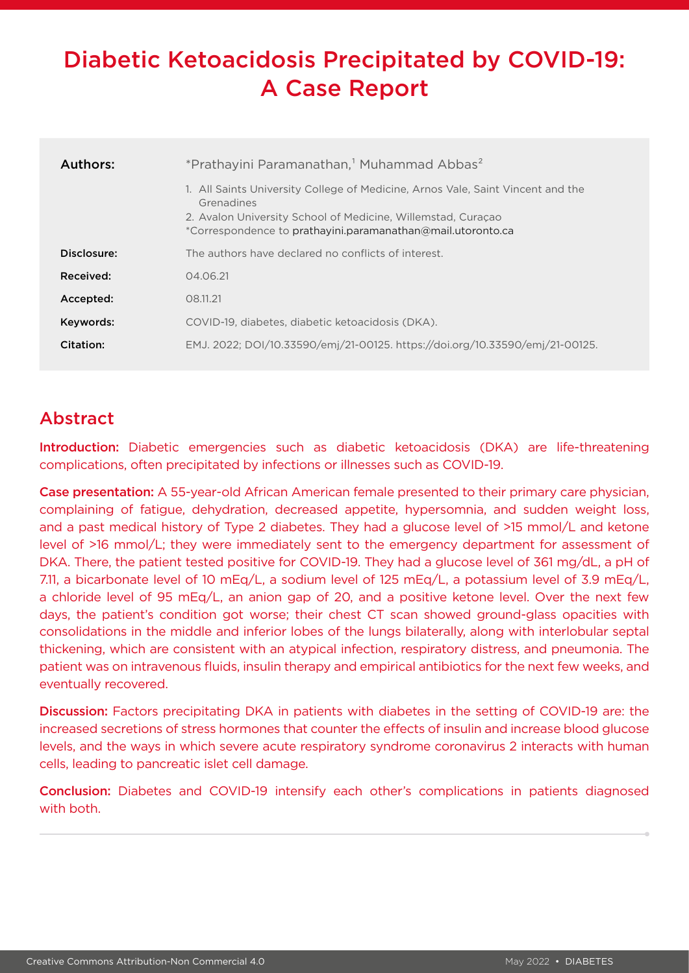# Diabetic Ketoacidosis Precipitated by COVID-19: A Case Report

| <b>Authors:</b> | *Prathayini Paramanathan, <sup>1</sup> Muhammad Abbas <sup>2</sup>                                                                                                                                                           |
|-----------------|------------------------------------------------------------------------------------------------------------------------------------------------------------------------------------------------------------------------------|
|                 | 1. All Saints University College of Medicine, Arnos Vale, Saint Vincent and the<br>Grenadines<br>2. Avalon University School of Medicine, Willemstad, Curacao<br>*Correspondence to prathayini.paramanathan@mail.utoronto.ca |
| Disclosure:     | The authors have declared no conflicts of interest.                                                                                                                                                                          |
| Received:       | 04.06.21                                                                                                                                                                                                                     |
| Accepted:       | 08.11.21                                                                                                                                                                                                                     |
| Keywords:       | COVID-19, diabetes, diabetic ketoacidosis (DKA).                                                                                                                                                                             |
| Citation:       | EMJ. 2022; DOI/10.33590/emj/21-00125. https://doi.org/10.33590/emj/21-00125.                                                                                                                                                 |

## Abstract

Introduction: Diabetic emergencies such as diabetic ketoacidosis (DKA) are life-threatening complications, often precipitated by infections or illnesses such as COVID-19.

Case presentation: A 55-year-old African American female presented to their primary care physician, complaining of fatigue, dehydration, decreased appetite, hypersomnia, and sudden weight loss, and a past medical history of Type 2 diabetes. They had a glucose level of >15 mmol/L and ketone level of >16 mmol/L; they were immediately sent to the emergency department for assessment of DKA. There, the patient tested positive for COVID-19. They had a glucose level of 361 mg/dL, a pH of 7.11, a bicarbonate level of 10 mEq/L, a sodium level of 125 mEq/L, a potassium level of 3.9 mEq/L, a chloride level of 95 mEq/L, an anion gap of 20, and a positive ketone level. Over the next few days, the patient's condition got worse; their chest CT scan showed ground-glass opacities with consolidations in the middle and inferior lobes of the lungs bilaterally, along with interlobular septal thickening, which are consistent with an atypical infection, respiratory distress, and pneumonia. The patient was on intravenous fluids, insulin therapy and empirical antibiotics for the next few weeks, and eventually recovered.

Discussion: Factors precipitating DKA in patients with diabetes in the setting of COVID-19 are: the increased secretions of stress hormones that counter the effects of insulin and increase blood glucose levels, and the ways in which severe acute respiratory syndrome coronavirus 2 interacts with human cells, leading to pancreatic islet cell damage.

Conclusion: Diabetes and COVID-19 intensify each other's complications in patients diagnosed with both.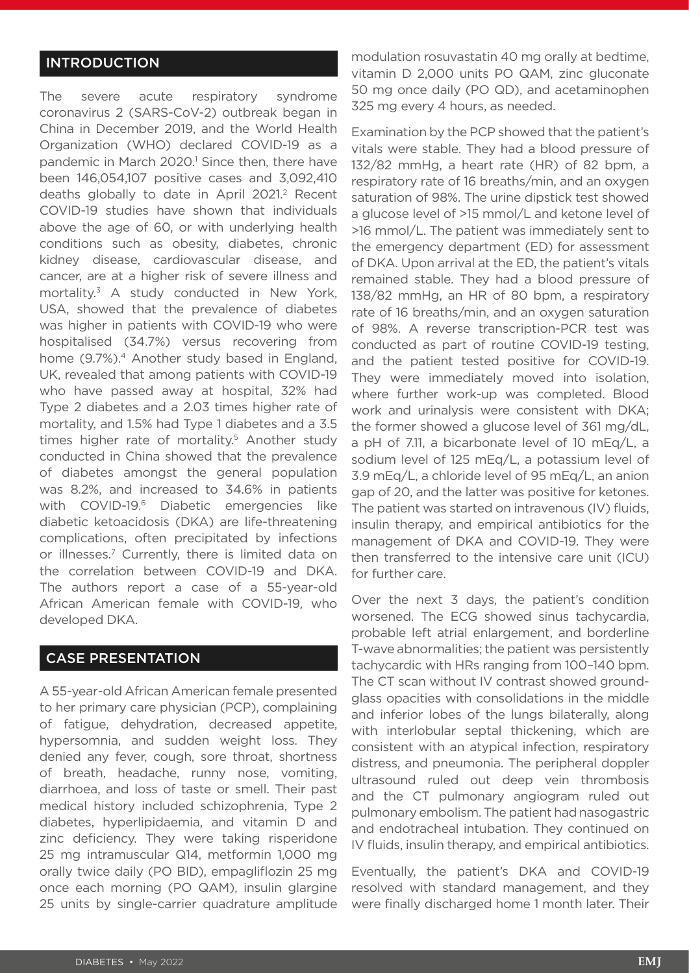#### **INTRODUCTION**

The severe acute respiratory syndrome coronavirus 2 (SARS-CoV-2) outbreak began in China in December 2019, and the World Health Organization (WHO) declared COVID-19 as a pandemic in March 2020.<sup>1</sup> Since then, there have been 146,054,107 positive cases and 3,092,410 deaths globally to date in April 2021.<sup>2</sup> Recent COVID-19 studies have shown that individuals above the age of 60, or with underlying health conditions such as obesity, diabetes, chronic kidney disease, cardiovascular disease, and cancer, are at a higher risk of severe illness and mortality.3 A study conducted in New York, USA, showed that the prevalence of diabetes was higher in patients with COVID-19 who were hospitalised (34.7%) versus recovering from home (9.7%).<sup>4</sup> Another study based in England, UK, revealed that among patients with COVID-19 who have passed away at hospital, 32% had Type 2 diabetes and a 2.03 times higher rate of mortality, and 1.5% had Type 1 diabetes and a 3.5 times higher rate of mortality.<sup>5</sup> Another study conducted in China showed that the prevalence of diabetes amongst the general population was 8.2%, and increased to 34.6% in patients with COVID-19.<sup>6</sup> Diabetic emergencies like diabetic ketoacidosis (DKA) are life-threatening complications, often precipitated by infections or illnesses.7 Currently, there is limited data on the correlation between COVID-19 and DKA. The authors report a case of a 55-year-old African American female with COVID-19, who developed DKA.

#### CASE PRESENTATION

A 55-year-old African American female presented to her primary care physician (PCP), complaining of fatigue, dehydration, decreased appetite, hypersomnia, and sudden weight loss. They denied any fever, cough, sore throat, shortness of breath, headache, runny nose, vomiting, diarrhoea, and loss of taste or smell. Their past medical history included schizophrenia, Type 2 diabetes, hyperlipidaemia, and vitamin D and zinc deficiency. They were taking risperidone 25 mg intramuscular Q14, metformin 1,000 mg orally twice daily (PO BID), empagliflozin 25 mg once each morning (PO QAM), insulin glargine 25 units by single-carrier quadrature amplitude

modulation rosuvastatin 40 mg orally at bedtime, vitamin D 2,000 units PO QAM, zinc gluconate 50 mg once daily (PO QD), and acetaminophen 325 mg every 4 hours, as needed.

Examination by the PCP showed that the patient's vitals were stable. They had a blood pressure of 132/82 mmHg, a heart rate (HR) of 82 bpm, a respiratory rate of 16 breaths/min, and an oxygen saturation of 98%. The urine dipstick test showed a glucose level of >15 mmol/L and ketone level of >16 mmol/L. The patient was immediately sent to the emergency department (ED) for assessment of DKA. Upon arrival at the ED, the patient's vitals remained stable. They had a blood pressure of 138/82 mmHg, an HR of 80 bpm, a respiratory rate of 16 breaths/min, and an oxygen saturation of 98%. A reverse transcription-PCR test was conducted as part of routine COVID-19 testing, and the patient tested positive for COVID-19. They were immediately moved into isolation, where further work-up was completed. Blood work and urinalysis were consistent with DKA; the former showed a glucose level of 361 mg/dL, a pH of 7.11, a bicarbonate level of 10 mEq/L, a sodium level of 125 mEq/L, a potassium level of 3.9 mEq/L, a chloride level of 95 mEq/L, an anion gap of 20, and the latter was positive for ketones. The patient was started on intravenous (IV) fluids, insulin therapy, and empirical antibiotics for the management of DKA and COVID-19. They were then transferred to the intensive care unit (ICU) for further care.

Over the next 3 days, the patient's condition worsened. The ECG showed sinus tachycardia, probable left atrial enlargement, and borderline T-wave abnormalities; the patient was persistently tachycardic with HRs ranging from 100–140 bpm. The CT scan without IV contrast showed groundglass opacities with consolidations in the middle and inferior lobes of the lungs bilaterally, along with interlobular septal thickening, which are consistent with an atypical infection, respiratory distress, and pneumonia. The peripheral doppler ultrasound ruled out deep vein thrombosis and the CT pulmonary angiogram ruled out pulmonary embolism. The patient had nasogastric and endotracheal intubation. They continued on IV fluids, insulin therapy, and empirical antibiotics.

Eventually, the patient's DKA and COVID-19 resolved with standard management, and they were finally discharged home 1 month later. Their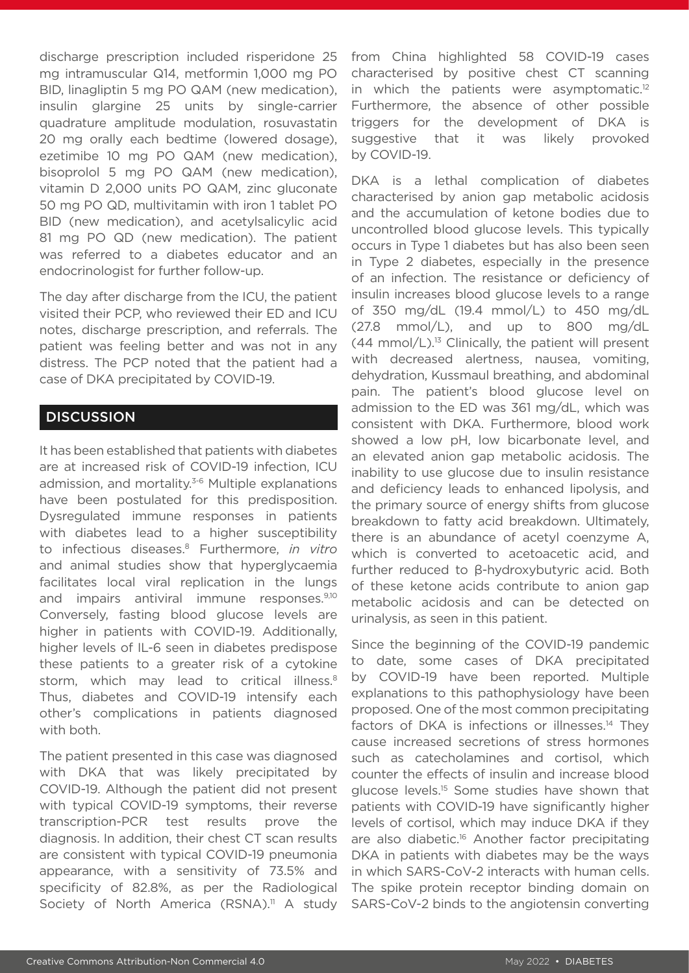discharge prescription included risperidone 25 mg intramuscular Q14, metformin 1,000 mg PO BID, linagliptin 5 mg PO QAM (new medication), insulin glargine 25 units by single-carrier quadrature amplitude modulation, rosuvastatin 20 mg orally each bedtime (lowered dosage), ezetimibe 10 mg PO QAM (new medication), bisoprolol 5 mg PO QAM (new medication), vitamin D 2,000 units PO QAM, zinc gluconate 50 mg PO QD, multivitamin with iron 1 tablet PO BID (new medication), and acetylsalicylic acid 81 mg PO QD (new medication). The patient was referred to a diabetes educator and an endocrinologist for further follow-up.

The day after discharge from the ICU, the patient visited their PCP, who reviewed their ED and ICU notes, discharge prescription, and referrals. The patient was feeling better and was not in any distress. The PCP noted that the patient had a case of DKA precipitated by COVID-19.

#### **DISCUSSION**

It has been established that patients with diabetes are at increased risk of COVID-19 infection, ICU admission, and mortality.<sup>3-6</sup> Multiple explanations have been postulated for this predisposition. Dysregulated immune responses in patients with diabetes lead to a higher susceptibility to infectious diseases.8 Furthermore, *in vitro* and animal studies show that hyperglycaemia facilitates local viral replication in the lungs and impairs antiviral immune responses.9,10 Conversely, fasting blood glucose levels are higher in patients with COVID-19. Additionally, higher levels of IL-6 seen in diabetes predispose these patients to a greater risk of a cytokine storm, which may lead to critical illness.<sup>8</sup> Thus, diabetes and COVID-19 intensify each other's complications in patients diagnosed with both.

The patient presented in this case was diagnosed with DKA that was likely precipitated by COVID-19. Although the patient did not present with typical COVID-19 symptoms, their reverse transcription-PCR test results prove the diagnosis. In addition, their chest CT scan results are consistent with typical COVID-19 pneumonia appearance, with a sensitivity of 73.5% and specificity of 82.8%, as per the Radiological Society of North America (RSNA).<sup>11</sup> A study

from China highlighted 58 COVID-19 cases characterised by positive chest CT scanning in which the patients were asymptomatic. $12$ Furthermore, the absence of other possible triggers for the development of DKA is suggestive that it was likely provoked by COVID-19.

DKA is a lethal complication of diabetes characterised by anion gap metabolic acidosis and the accumulation of ketone bodies due to uncontrolled blood glucose levels. This typically occurs in Type 1 diabetes but has also been seen in Type 2 diabetes, especially in the presence of an infection. The resistance or deficiency of insulin increases blood glucose levels to a range of 350 mg/dL (19.4 mmol/L) to 450 mg/dL (27.8 mmol/L), and up to 800 mg/dL  $(44 \text{ mmol/L})^{13}$  Clinically, the patient will present with decreased alertness, nausea, vomiting, dehydration, Kussmaul breathing, and abdominal pain. The patient's blood glucose level on admission to the ED was 361 mg/dL, which was consistent with DKA. Furthermore, blood work showed a low pH, low bicarbonate level, and an elevated anion gap metabolic acidosis. The inability to use glucose due to insulin resistance and deficiency leads to enhanced lipolysis, and the primary source of energy shifts from glucose breakdown to fatty acid breakdown. Ultimately, there is an abundance of acetyl coenzyme A, which is converted to acetoacetic acid, and further reduced to β-hydroxybutyric acid. Both of these ketone acids contribute to anion gap metabolic acidosis and can be detected on urinalysis, as seen in this patient.

Since the beginning of the COVID-19 pandemic to date, some cases of DKA precipitated by COVID-19 have been reported. Multiple explanations to this pathophysiology have been proposed. One of the most common precipitating factors of DKA is infections or illnesses.<sup>14</sup> They cause increased secretions of stress hormones such as catecholamines and cortisol, which counter the effects of insulin and increase blood glucose levels.15 Some studies have shown that patients with COVID-19 have significantly higher levels of cortisol, which may induce DKA if they are also diabetic.<sup>16</sup> Another factor precipitating DKA in patients with diabetes may be the ways in which SARS-CoV-2 interacts with human cells. The spike protein receptor binding domain on SARS-CoV-2 binds to the angiotensin converting